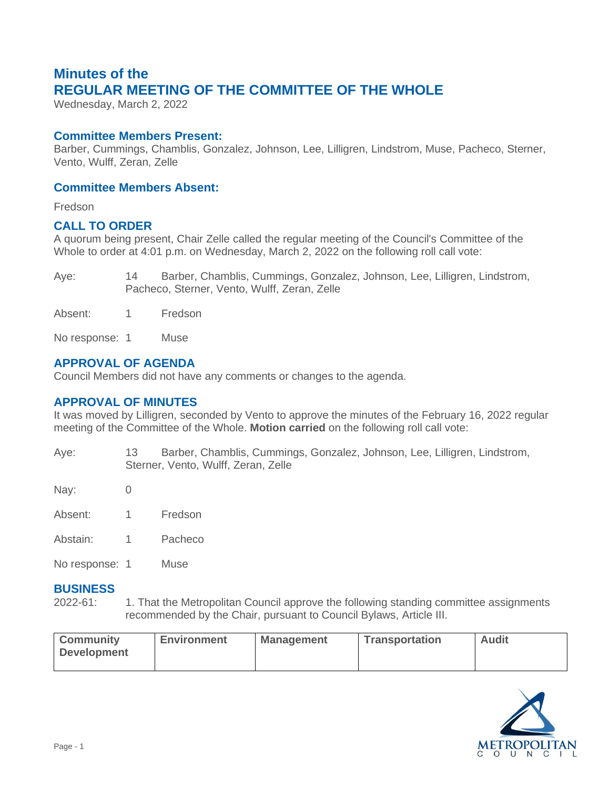# **Minutes of the REGULAR MEETING OF THE COMMITTEE OF THE WHOLE**

Wednesday, March 2, 2022

## **Committee Members Present:**

Barber, Cummings, Chamblis, Gonzalez, Johnson, Lee, Lilligren, Lindstrom, Muse, Pacheco, Sterner, Vento, Wulff, Zeran, Zelle

## **Committee Members Absent:**

Fredson

## **CALL TO ORDER**

A quorum being present, Chair Zelle called the regular meeting of the Council's Committee of the Whole to order at 4:01 p.m. on Wednesday, March 2, 2022 on the following roll call vote:

Aye: 14 Barber, Chamblis, Cummings, Gonzalez, Johnson, Lee, Lilligren, Lindstrom, Pacheco, Sterner, Vento, Wulff, Zeran, Zelle

Absent: 1 Fredson

No response: 1 Muse

# **APPROVAL OF AGENDA**

Council Members did not have any comments or changes to the agenda.

# **APPROVAL OF MINUTES**

It was moved by Lilligren, seconded by Vento to approve the minutes of the February 16, 2022 regular meeting of the Committee of the Whole. **Motion carried** on the following roll call vote:

Aye: 13 Barber, Chamblis, Cummings, Gonzalez, Johnson, Lee, Lilligren, Lindstrom, Sterner, Vento, Wulff, Zeran, Zelle

Nav: 0

- Absent: 1 Fredson
- Abstain: 1 Pacheco

No response: 1 Muse

#### **BUSINESS**

2022-61: 1. That the Metropolitan Council approve the following standing committee assignments recommended by the Chair, pursuant to Council Bylaws, Article III.

| <b>Community</b><br><b>Environment</b><br><b>Development</b> | <b>Management</b> | <b>Transportation</b> | <b>Audit</b> |
|--------------------------------------------------------------|-------------------|-----------------------|--------------|
|--------------------------------------------------------------|-------------------|-----------------------|--------------|

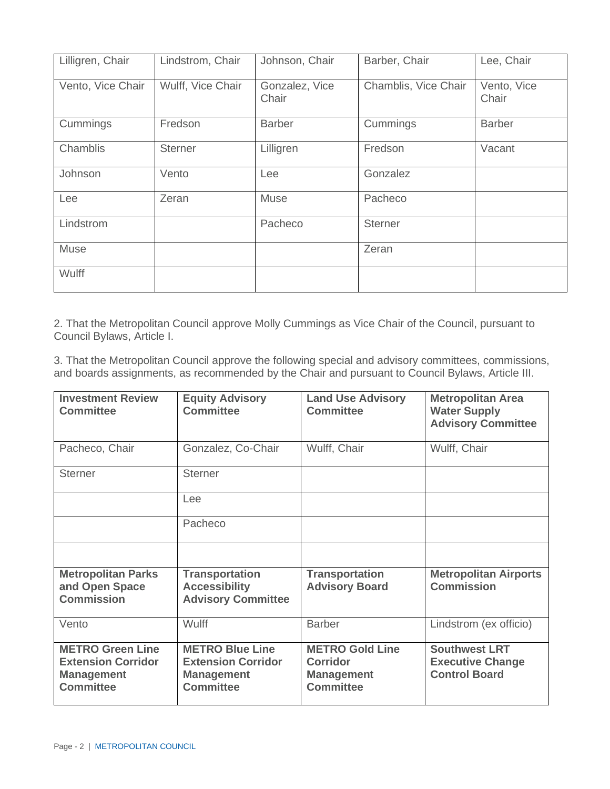| Lilligren, Chair  | Lindstrom, Chair  | Johnson, Chair          | Barber, Chair        | Lee, Chair           |
|-------------------|-------------------|-------------------------|----------------------|----------------------|
| Vento, Vice Chair | Wulff, Vice Chair | Gonzalez, Vice<br>Chair | Chamblis, Vice Chair | Vento, Vice<br>Chair |
| Cummings          | Fredson           | <b>Barber</b>           | Cummings             | <b>Barber</b>        |
| Chamblis          | Sterner           | Lilligren               | Fredson              | Vacant               |
| Johnson           | Vento             | Lee                     | Gonzalez             |                      |
| Lee               | Zeran             | Muse                    | Pacheco              |                      |
| Lindstrom         |                   | Pacheco                 | <b>Sterner</b>       |                      |
| Muse              |                   |                         | Zeran                |                      |
| Wulff             |                   |                         |                      |                      |

2. That the Metropolitan Council approve Molly Cummings as Vice Chair of the Council, pursuant to Council Bylaws, Article I.

3. That the Metropolitan Council approve the following special and advisory committees, commissions, and boards assignments, as recommended by the Chair and pursuant to Council Bylaws, Article III.

| <b>Investment Review</b><br><b>Committee</b>                                                  | <b>Equity Advisory</b><br><b>Committee</b>                                                   | <b>Land Use Advisory</b><br><b>Committee</b>                                | <b>Metropolitan Area</b><br><b>Water Supply</b><br><b>Advisory Committee</b> |
|-----------------------------------------------------------------------------------------------|----------------------------------------------------------------------------------------------|-----------------------------------------------------------------------------|------------------------------------------------------------------------------|
| Pacheco, Chair                                                                                | Gonzalez, Co-Chair                                                                           | Wulff, Chair                                                                | Wulff, Chair                                                                 |
| <b>Sterner</b>                                                                                | <b>Sterner</b>                                                                               |                                                                             |                                                                              |
|                                                                                               | Lee                                                                                          |                                                                             |                                                                              |
|                                                                                               | Pacheco                                                                                      |                                                                             |                                                                              |
|                                                                                               |                                                                                              |                                                                             |                                                                              |
| <b>Metropolitan Parks</b><br>and Open Space<br><b>Commission</b>                              | <b>Transportation</b><br><b>Accessibility</b><br><b>Advisory Committee</b>                   | <b>Transportation</b><br><b>Advisory Board</b>                              | <b>Metropolitan Airports</b><br><b>Commission</b>                            |
| Vento                                                                                         | <b>Wulff</b>                                                                                 | <b>Barber</b>                                                               | Lindstrom (ex officio)                                                       |
| <b>METRO Green Line</b><br><b>Extension Corridor</b><br><b>Management</b><br><b>Committee</b> | <b>METRO Blue Line</b><br><b>Extension Corridor</b><br><b>Management</b><br><b>Committee</b> | <b>METRO Gold Line</b><br>Corridor<br><b>Management</b><br><b>Committee</b> | <b>Southwest LRT</b><br><b>Executive Change</b><br><b>Control Board</b>      |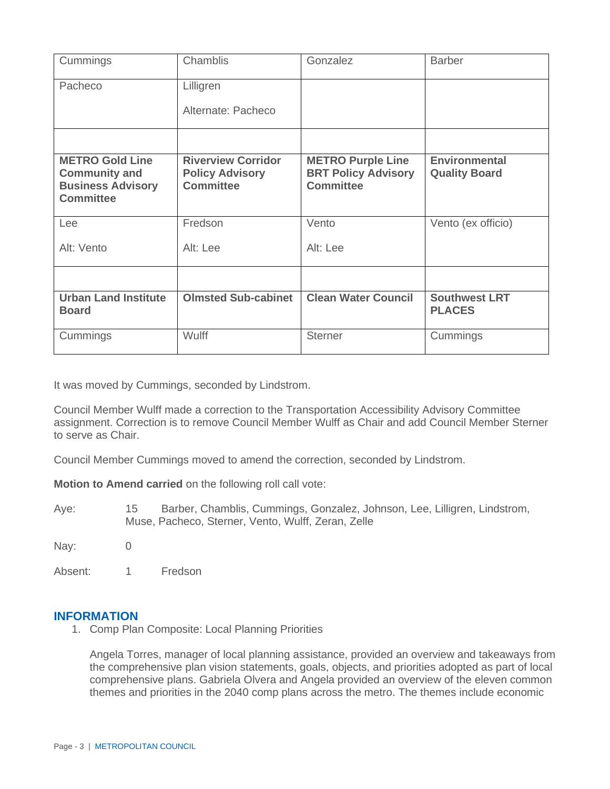| Cummings                                                                                       | Chamblis                                                                | Gonzalez                                                                   | <b>Barber</b>                                |
|------------------------------------------------------------------------------------------------|-------------------------------------------------------------------------|----------------------------------------------------------------------------|----------------------------------------------|
| Pacheco                                                                                        | Lilligren                                                               |                                                                            |                                              |
|                                                                                                | Alternate: Pacheco                                                      |                                                                            |                                              |
|                                                                                                |                                                                         |                                                                            |                                              |
| <b>METRO Gold Line</b><br><b>Community and</b><br><b>Business Advisory</b><br><b>Committee</b> | <b>Riverview Corridor</b><br><b>Policy Advisory</b><br><b>Committee</b> | <b>METRO Purple Line</b><br><b>BRT Policy Advisory</b><br><b>Committee</b> | <b>Environmental</b><br><b>Quality Board</b> |
| Lee                                                                                            | Fredson                                                                 | Vento                                                                      | Vento (ex officio)                           |
| Alt: Vento                                                                                     | Alt: Lee                                                                | Alt: Lee                                                                   |                                              |
|                                                                                                |                                                                         |                                                                            |                                              |
| <b>Urban Land Institute</b><br><b>Board</b>                                                    | <b>Olmsted Sub-cabinet</b>                                              | <b>Clean Water Council</b>                                                 | <b>Southwest LRT</b><br><b>PLACES</b>        |
| Cummings                                                                                       | Wulff                                                                   | <b>Sterner</b>                                                             | Cummings                                     |

It was moved by Cummings, seconded by Lindstrom.

Council Member Wulff made a correction to the Transportation Accessibility Advisory Committee assignment. Correction is to remove Council Member Wulff as Chair and add Council Member Sterner to serve as Chair.

Council Member Cummings moved to amend the correction, seconded by Lindstrom.

**Motion to Amend carried** on the following roll call vote:

Aye: 15 Barber, Chamblis, Cummings, Gonzalez, Johnson, Lee, Lilligren, Lindstrom, Muse, Pacheco, Sterner, Vento, Wulff, Zeran, Zelle

Nay: 0

Absent: 1 Fredson

#### **INFORMATION**

1. Comp Plan Composite: Local Planning Priorities

Angela Torres, manager of local planning assistance, provided an overview and takeaways from the comprehensive plan vision statements, goals, objects, and priorities adopted as part of local comprehensive plans. Gabriela Olvera and Angela provided an overview of the eleven common themes and priorities in the 2040 comp plans across the metro. The themes include economic